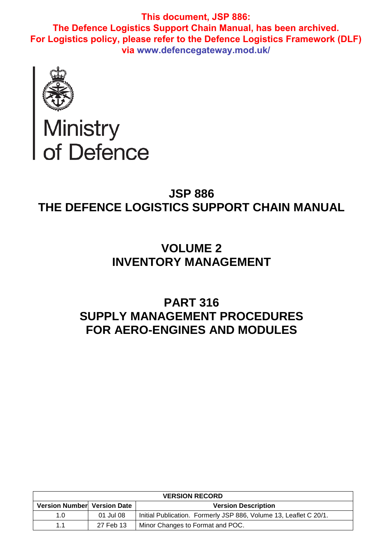

# Ministry<br>of Defence

# **JSP 886 THE DEFENCE LOGISTICS SUPPORT CHAIN MANUAL**

# **VOLUME 2 INVENTORY MANAGEMENT**

# **PART 316 SUPPLY MANAGEMENT PROCEDURES FOR AERO-ENGINES AND MODULES**

| <b>VERSION RECORD</b>       |           |                                                                   |  |  |  |
|-----------------------------|-----------|-------------------------------------------------------------------|--|--|--|
| Version Number Version Date |           | <b>Version Description</b>                                        |  |  |  |
| 1.0                         | 01 Jul 08 | Initial Publication. Formerly JSP 886, Volume 13, Leaflet C 20/1. |  |  |  |
| 11                          | 27 Feb 13 | Minor Changes to Format and POC.                                  |  |  |  |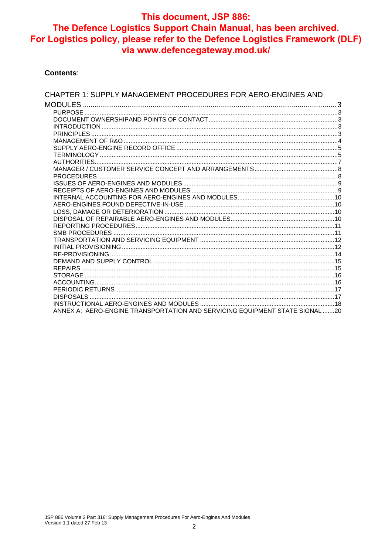#### **Contents:**

| CHAPTER 1: SUPPLY MANAGEMENT PROCEDURES FOR AERO-ENGINES AND                |  |
|-----------------------------------------------------------------------------|--|
| MODULES                                                                     |  |
|                                                                             |  |
|                                                                             |  |
|                                                                             |  |
|                                                                             |  |
|                                                                             |  |
|                                                                             |  |
|                                                                             |  |
|                                                                             |  |
|                                                                             |  |
|                                                                             |  |
|                                                                             |  |
|                                                                             |  |
|                                                                             |  |
|                                                                             |  |
|                                                                             |  |
|                                                                             |  |
|                                                                             |  |
|                                                                             |  |
|                                                                             |  |
|                                                                             |  |
|                                                                             |  |
|                                                                             |  |
|                                                                             |  |
|                                                                             |  |
|                                                                             |  |
|                                                                             |  |
| ANNEX A: AERO-ENGINE TRANSPORTATION AND SERVICING EQUIPMENT STATE SIGNAL 20 |  |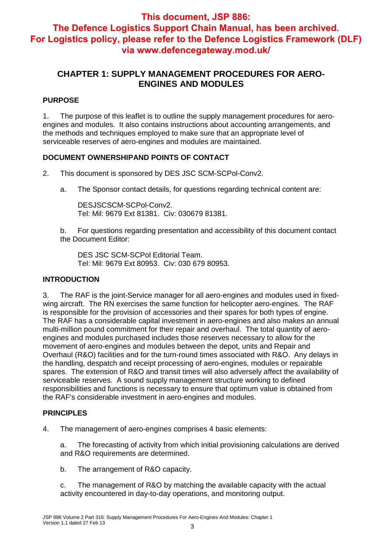## **CHAPTER 1: SUPPLY MANAGEMENT PROCEDURES FOR AERO-ENGINES AND MODULES**

## **PURPOSE**

1. The purpose of this leaflet is to outline the supply management procedures for aeroengines and modules. It also contains instructions about accounting arrangements, and the methods and techniques employed to make sure that an appropriate level of serviceable reserves of aero-engines and modules are maintained.

#### **DOCUMENT OWNERSHIPAND POINTS OF CONTACT**

2. This document is sponsored by DES JSC SCM-SCPol-Conv2.

a. The Sponsor contact details, for questions regarding technical content are:

DESJSCSCM-SCPol-Conv2. Tel: Mil: 9679 Ext 81381. Civ: 030679 81381.

b. For questions regarding presentation and accessibility of this document contact the Document Editor:

DES JSC SCM-SCPol Editorial Team. Tel: Mil: 9679 Ext 80953. Civ: 030 679 80953.

#### **INTRODUCTION**

3. The RAF is the joint-Service manager for all aero-engines and modules used in fixedwing aircraft. The RN exercises the same function for helicopter aero-engines. The RAF is responsible for the provision of accessories and their spares for both types of engine. The RAF has a considerable capital investment in aero-engines and also makes an annual multi-million pound commitment for their repair and overhaul. The total quantity of aeroengines and modules purchased includes those reserves necessary to allow for the movement of aero-engines and modules between the depot, units and Repair and Overhaul (R&O) facilities and for the turn-round times associated with R&O. Any delays in the handling, despatch and receipt processing of aero-engines, modules or repairable spares. The extension of R&O and transit times will also adversely affect the availability of serviceable reserves. A sound supply management structure working to defined responsibilities and functions is necessary to ensure that optimum value is obtained from the RAF's considerable investment in aero-engines and modules.

#### **PRINCIPLES**

4. The management of aero-engines comprises 4 basic elements:

a. The forecasting of activity from which initial provisioning calculations are derived and R&O requirements are determined.

b. The arrangement of R&O capacity.

c. The management of R&O by matching the available capacity with the actual activity encountered in day-to-day operations, and monitoring output.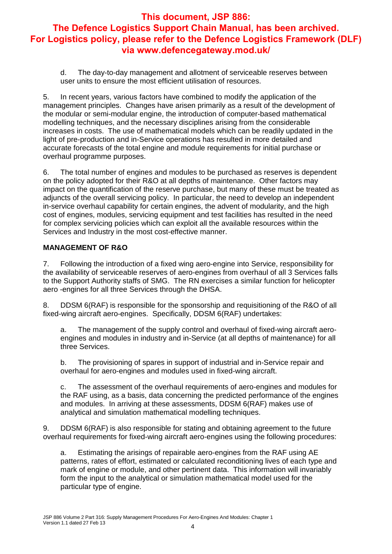d. The day-to-day management and allotment of serviceable reserves between user units to ensure the most efficient utilisation of resources.

5. In recent years, various factors have combined to modify the application of the management principles. Changes have arisen primarily as a result of the development of the modular or semi-modular engine, the introduction of computer-based mathematical modelling techniques, and the necessary disciplines arising from the considerable increases in costs. The use of mathematical models which can be readily updated in the light of pre-production and in-Service operations has resulted in more detailed and accurate forecasts of the total engine and module requirements for initial purchase or overhaul programme purposes.

6. The total number of engines and modules to be purchased as reserves is dependent on the policy adopted for their R&O at all depths of maintenance. Other factors may impact on the quantification of the reserve purchase, but many of these must be treated as adjuncts of the overall servicing policy. In particular, the need to develop an independent in-service overhaul capability for certain engines, the advent of modularity, and the high cost of engines, modules, servicing equipment and test facilities has resulted in the need for complex servicing policies which can exploit all the available resources within the Services and Industry in the most cost-effective manner.

#### **MANAGEMENT OF R&O**

7. Following the introduction of a fixed wing aero-engine into Service, responsibility for the availability of serviceable reserves of aero-engines from overhaul of all 3 Services falls to the Support Authority staffs of SMG. The RN exercises a similar function for helicopter aero -engines for all three Services through the DHSA.

8. DDSM 6(RAF) is responsible for the sponsorship and requisitioning of the R&O of all fixed-wing aircraft aero-engines. Specifically, DDSM 6(RAF) undertakes:

a. The management of the supply control and overhaul of fixed-wing aircraft aeroengines and modules in industry and in-Service (at all depths of maintenance) for all three Services.

b. The provisioning of spares in support of industrial and in-Service repair and overhaul for aero-engines and modules used in fixed-wing aircraft.

c. The assessment of the overhaul requirements of aero-engines and modules for the RAF using, as a basis, data concerning the predicted performance of the engines and modules. In arriving at these assessments, DDSM 6(RAF) makes use of analytical and simulation mathematical modelling techniques.

9. DDSM 6(RAF) is also responsible for stating and obtaining agreement to the future overhaul requirements for fixed-wing aircraft aero-engines using the following procedures:

a. Estimating the arisings of repairable aero-engines from the RAF using AE patterns, rates of effort, estimated or calculated reconditioning lives of each type and mark of engine or module, and other pertinent data. This information will invariably form the input to the analytical or simulation mathematical model used for the particular type of engine.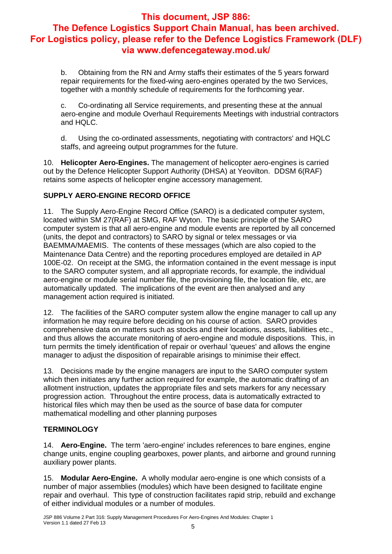b. Obtaining from the RN and Army staffs their estimates of the 5 years forward repair requirements for the fixed-wing aero-engines operated by the two Services, together with a monthly schedule of requirements for the forthcoming year.

c. Co-ordinating all Service requirements, and presenting these at the annual aero-engine and module Overhaul Requirements Meetings with industrial contractors and HQLC.

d. Using the co-ordinated assessments, negotiating with contractors' and HQLC staffs, and agreeing output programmes for the future.

10. **Helicopter Aero-Engines.** The management of helicopter aero-engines is carried out by the Defence Helicopter Support Authority (DHSA) at Yeovilton. DDSM 6(RAF) retains some aspects of helicopter engine accessory management.

## **SUPPLY AERO-ENGINE RECORD OFFICE**

11. The Supply Aero-Engine Record Office (SARO) is a dedicated computer system, located within SM 27(RAF) at SMG, RAF Wyton. The basic principle of the SARO computer system is that all aero-engine and module events are reported by all concerned (units, the depot and contractors) to SARO by signal or telex messages or via BAEMMA/MAEMIS. The contents of these messages (which are also copied to the Maintenance Data Centre) and the reporting procedures employed are detailed in AP 100E-02. On receipt at the SMG, the information contained in the event message is input to the SARO computer system, and all appropriate records, for example, the individual aero-engine or module serial number file, the provisioning file, the location file, etc, are automatically updated. The implications of the event are then analysed and any management action required is initiated.

12. The facilities of the SARO computer system allow the engine manager to call up any information he may require before deciding on his course of action. SARO provides comprehensive data on matters such as stocks and their locations, assets, liabilities etc., and thus allows the accurate monitoring of aero-engine and module dispositions. This, in turn permits the timely identification of repair or overhaul 'queues' and allows the engine manager to adjust the disposition of repairable arisings to minimise their effect.

13. Decisions made by the engine managers are input to the SARO computer system which then initiates any further action required for example, the automatic drafting of an allotment instruction, updates the appropriate files and sets markers for any necessary progression action. Throughout the entire process, data is automatically extracted to historical files which may then be used as the source of base data for computer mathematical modelling and other planning purposes

## **TERMINOLOGY**

14. **Aero-Engine.** The term 'aero-engine' includes references to bare engines, engine change units, engine coupling gearboxes, power plants, and airborne and ground running auxiliary power plants.

15. **Modular Aero-Engine.** A wholly modular aero-engine is one which consists of a number of major assemblies (modules) which have been designed to facilitate engine repair and overhaul. This type of construction facilitates rapid strip, rebuild and exchange of either individual modules or a number of modules.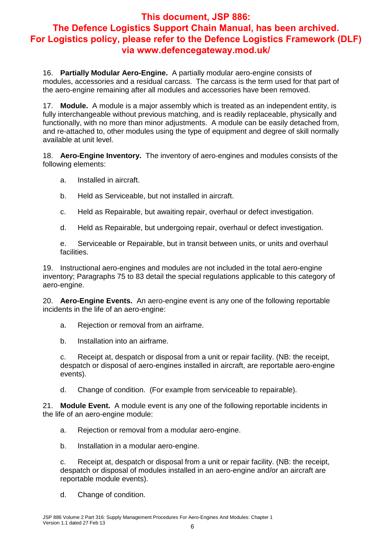16. **Partially Modular Aero-Engine.** A partially modular aero-engine consists of modules, accessories and a residual carcass. The carcass is the term used for that part of the aero-engine remaining after all modules and accessories have been removed.

17. **Module.** A module is a major assembly which is treated as an independent entity, is fully interchangeable without previous matching, and is readily replaceable, physically and functionally, with no more than minor adjustments. A module can be easily detached from, and re-attached to, other modules using the type of equipment and degree of skill normally available at unit level.

18. **Aero-Engine Inventory.** The inventory of aero-engines and modules consists of the following elements:

- a. Installed in aircraft.
- b. Held as Serviceable, but not installed in aircraft.
- c. Held as Repairable, but awaiting repair, overhaul or defect investigation.
- d. Held as Repairable, but undergoing repair, overhaul or defect investigation.

e. Serviceable or Repairable, but in transit between units, or units and overhaul facilities.

19. Instructional aero-engines and modules are not included in the total aero-engine inventory; Paragraphs 75 to 83 detail the special regulations applicable to this category of aero-engine.

20. **Aero-Engine Events.** An aero-engine event is any one of the following reportable incidents in the life of an aero-engine:

- a. Rejection or removal from an airframe.
- b. Installation into an airframe.

c. Receipt at, despatch or disposal from a unit or repair facility. (NB: the receipt, despatch or disposal of aero-engines installed in aircraft, are reportable aero-engine events).

d. Change of condition. (For example from serviceable to repairable).

21. **Module Event.** A module event is any one of the following reportable incidents in the life of an aero-engine module:

- a. Rejection or removal from a modular aero-engine.
- b. Installation in a modular aero-engine.

c. Receipt at, despatch or disposal from a unit or repair facility. (NB: the receipt, despatch or disposal of modules installed in an aero-engine and/or an aircraft are reportable module events).

d. Change of condition.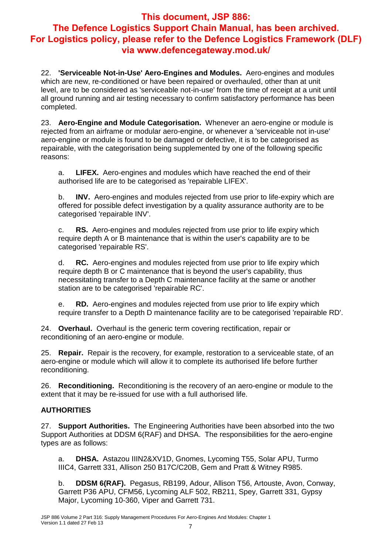22. **'Serviceable Not-in-Use' Aero-Engines and Modules.** Aero-engines and modules which are new, re-conditioned or have been repaired or overhauled, other than at unit level, are to be considered as 'serviceable not-in-use' from the time of receipt at a unit until all ground running and air testing necessary to confirm satisfactory performance has been completed.

23. **Aero-Engine and Module Categorisation.** Whenever an aero-engine or module is rejected from an airframe or modular aero-engine, or whenever a 'serviceable not in-use' aero-engine or module is found to be damaged or defective, it is to be categorised as repairable, with the categorisation being supplemented by one of the following specific reasons:

a. **LIFEX.** Aero-engines and modules which have reached the end of their authorised life are to be categorised as 'repairable LIFEX'.

b. **INV.** Aero-engines and modules rejected from use prior to life-expiry which are offered for possible defect investigation by a quality assurance authority are to be categorised 'repairable INV'.

c. **RS.** Aero-engines and modules rejected from use prior to life expiry which require depth A or B maintenance that is within the user's capability are to be categorised 'repairable RS'.

d. **RC.** Aero-engines and modules rejected from use prior to life expiry which require depth B or C maintenance that is beyond the user's capability, thus necessitating transfer to a Depth C maintenance facility at the same or another station are to be categorised 'repairable RC'.

e. **RD.** Aero-engines and modules rejected from use prior to life expiry which require transfer to a Depth D maintenance facility are to be categorised 'repairable RD'.

24. **Overhaul.** Overhaul is the generic term covering rectification, repair or reconditioning of an aero-engine or module.

25. **Repair.** Repair is the recovery, for example, restoration to a serviceable state, of an aero-engine or module which will allow it to complete its authorised life before further reconditioning.

26. **Reconditioning.** Reconditioning is the recovery of an aero-engine or module to the extent that it may be re-issued for use with a full authorised life.

#### **AUTHORITIES**

27. **Support Authorities.** The Engineering Authorities have been absorbed into the two Support Authorities at DDSM 6(RAF) and DHSA. The responsibilities for the aero-engine types are as follows:

a. **DHSA.** Astazou IIIN2&XV1D, Gnomes, Lycoming T55, Solar APU, Turmo IIIC4, Garrett 331, Allison 250 B17C/C20B, Gem and Pratt & Witney R985.

b. **DDSM 6(RAF).** Pegasus, RB199, Adour, Allison T56, Artouste, Avon, Conway, Garrett P36 APU, CFM56, Lycoming ALF 502, RB211, Spey, Garrett 331, Gypsy Major, Lycoming 10-360, Viper and Garrett 731.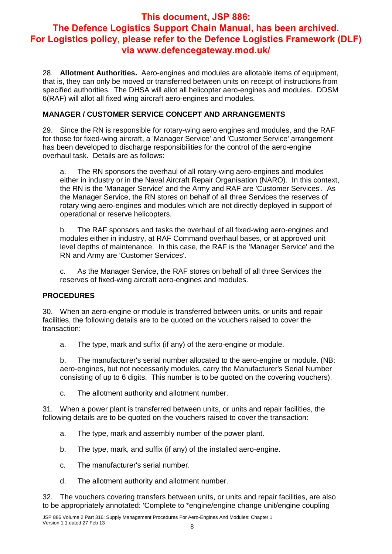28. **Allotment Authorities.** Aero-engines and modules are allotable items of equipment, that is, they can only be moved or transferred between units on receipt of instructions from specified authorities. The DHSA will allot all helicopter aero-engines and modules. DDSM 6(RAF) will allot all fixed wing aircraft aero-engines and modules.

#### **MANAGER / CUSTOMER SERVICE CONCEPT AND ARRANGEMENTS**

29. Since the RN is responsible for rotary-wing aero engines and modules, and the RAF for those for fixed-wing aircraft, a 'Manager Service' and 'Customer Service' arrangement has been developed to discharge responsibilities for the control of the aero-engine overhaul task. Details are as follows:

a. The RN sponsors the overhaul of all rotary-wing aero-engines and modules either in industry or in the Naval Aircraft Repair Organisation (NARO). In this context, the RN is the 'Manager Service' and the Army and RAF are 'Customer Services'. As the Manager Service, the RN stores on behalf of all three Services the reserves of rotary wing aero-engines and modules which are not directly deployed in support of operational or reserve helicopters.

b. The RAF sponsors and tasks the overhaul of all fixed-wing aero-engines and modules either in industry, at RAF Command overhaul bases, or at approved unit level depths of maintenance. In this case, the RAF is the 'Manager Service' and the RN and Army are 'Customer Services'.

c. As the Manager Service, the RAF stores on behalf of all three Services the reserves of fixed-wing aircraft aero-engines and modules.

#### **PROCEDURES**

30. When an aero-engine or module is transferred between units, or units and repair facilities, the following details are to be quoted on the vouchers raised to cover the transaction:

a. The type, mark and suffix (if any) of the aero-engine or module.

b. The manufacturer's serial number allocated to the aero-engine or module. (NB: aero-engines, but not necessarily modules, carry the Manufacturer's Serial Number consisting of up to 6 digits. This number is to be quoted on the covering vouchers).

c. The allotment authority and allotment number.

31. When a power plant is transferred between units, or units and repair facilities, the following details are to be quoted on the vouchers raised to cover the transaction:

- a. The type, mark and assembly number of the power plant.
- b. The type, mark, and suffix (if any) of the installed aero-engine.
- c. The manufacturer's serial number.
- d. The allotment authority and allotment number.

32. The vouchers covering transfers between units, or units and repair facilities, are also to be appropriately annotated: 'Complete to \*engine/engine change unit/engine coupling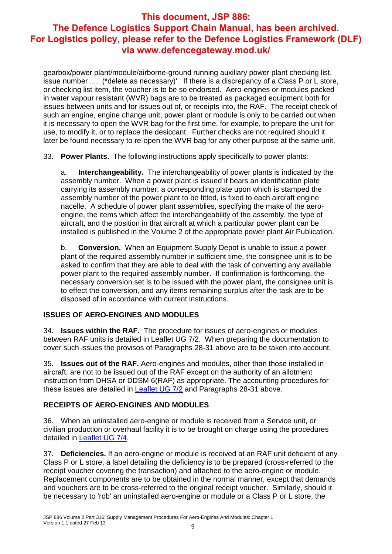gearbox/power plant/module/airborne-ground running auxiliary power plant checking list, issue number ..... (\*delete as necessary)'. If there is a discrepancy of a Class P or L store, or checking list item, the voucher is to be so endorsed. Aero-engines or modules packed in water vapour resistant (WVR) bags are to be treated as packaged equipment both for issues between units and for issues out of, or receipts into, the RAF. The receipt check of such an engine, engine change unit, power plant or module is only to be carried out when it is necessary to open the WVR bag for the first time, for example, to prepare the unit for use, to modify it, or to replace the desiccant. Further checks are not required should it later be found necessary to re-open the WVR bag for any other purpose at the same unit.

33. **Power Plants.** The following instructions apply specifically to power plants:

a. **Interchangeability.** The interchangeability of power plants is indicated by the assembly number. When a power plant is issued it bears an identification plate carrying its assembly number; a corresponding plate upon which is stamped the assembly number of the power plant to be fitted, is fixed to each aircraft engine nacelle. A schedule of power plant assemblies, specifying the make of the aeroengine, the items which affect the interchangeability of the assembly, the type of aircraft, and the position in that aircraft at which a particular power plant can be installed is published in the Volume 2 of the appropriate power plant Air Publication.

b. **Conversion.** When an Equipment Supply Depot is unable to issue a power plant of the required assembly number in sufficient time, the consignee unit is to be asked to confirm that they are able to deal with the task of converting any available power plant to the required assembly number. If confirmation is forthcoming, the necessary conversion set is to be issued with the power plant, the consignee unit is to effect the conversion, and any items remaining surplus after the task are to be disposed of in accordance with current instructions.

#### **ISSUES OF AERO-ENGINES AND MODULES**

34. **Issues within the RAF.** The procedure for issues of aero-engines or modules between RAF units is detailed in Leaflet UG 7/2. When preparing the documentation to cover such issues the provisos of Paragraphs 28-31 above are to be taken into account.

35. **Issues out of the RAF.** Aero-engines and modules, other than those installed in aircraft, are not to be issued out of the RAF except on the authority of an allotment instruction from DHSA or DDSM 6(RAF) as appropriate. The accounting procedures for these issues are detailed in Leaflet UG 7/2 and Paragraphs 28-31 above.

#### **RECEIPTS OF AERO-ENGINES AND MODULES**

36. When an uninstalled aero-engine or module is received from a Service unit, or civilian production or overhaul facility it is to be brought on charge using the procedures detailed in Leaflet UG 7/4.

37. **Deficiencies.** If an aero-engine or module is received at an RAF unit deficient of any Class P or L store, a label detailing the deficiency is to be prepared (cross-referred to the receipt voucher covering the transaction) and attached to the aero-engine or module. Replacement components are to be obtained in the normal manner, except that demands and vouchers are to be cross-referred to the original receipt voucher. Similarly, should it be necessary to 'rob' an uninstalled aero-engine or module or a Class P or L store, the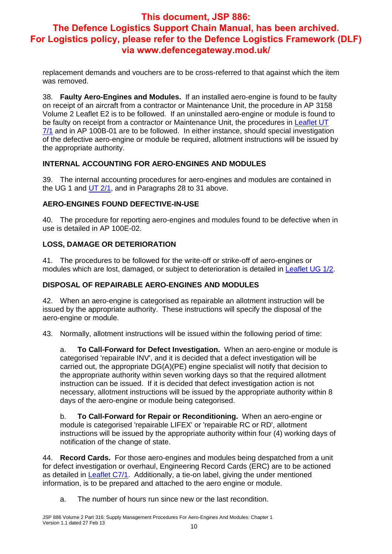replacement demands and vouchers are to be cross-referred to that against which the item was removed.

38. **Faulty Aero-Engines and Modules.** If an installed aero-engine is found to be faulty on receipt of an aircraft from a contractor or Maintenance Unit, the procedure in AP 3158 Volume 2 Leaflet E2 is to be followed. If an uninstalled aero-engine or module is found to be faulty on receipt from a contractor or Maintenance Unit, the procedures in Leaflet UT 7/1 and in AP 100B-01 are to be followed. In either instance, should special investigation of the defective aero-engine or module be required, allotment instructions will be issued by the appropriate authority.

#### **INTERNAL ACCOUNTING FOR AERO-ENGINES AND MODULES**

39. The internal accounting procedures for aero-engines and modules are contained in the UG 1 and UT 2/1, and in Paragraphs 28 to 31 above.

## **AERO-ENGINES FOUND DEFECTIVE-IN-USE**

40. The procedure for reporting aero-engines and modules found to be defective when in use is detailed in AP 100E-02.

## **LOSS, DAMAGE OR DETERIORATION**

41. The procedures to be followed for the write-off or strike-off of aero-engines or modules which are lost, damaged, or subject to deterioration is detailed in Leaflet UG 1/2.

## **DISPOSAL OF REPAIRABLE AERO-ENGINES AND MODULES**

42. When an aero-engine is categorised as repairable an allotment instruction will be issued by the appropriate authority. These instructions will specify the disposal of the aero-engine or module.

43. Normally, allotment instructions will be issued within the following period of time:

a. **To Call-Forward for Defect Investigation.** When an aero-engine or module is categorised 'repairable INV', and it is decided that a defect investigation will be carried out, the appropriate DG(A)(PE) engine specialist will notify that decision to the appropriate authority within seven working days so that the required allotment instruction can be issued. If it is decided that defect investigation action is not necessary, allotment instructions will be issued by the appropriate authority within 8 days of the aero-engine or module being categorised.

b. **To Call-Forward for Repair or Reconditioning.** When an aero-engine or module is categorised 'repairable LIFEX' or 'repairable RC or RD', allotment instructions will be issued by the appropriate authority within four (4) working days of notification of the change of state.

44. **Record Cards.** For those aero-engines and modules being despatched from a unit for defect investigation or overhaul, Engineering Record Cards (ERC) are to be actioned as detailed in Leaflet C7/1. Additionally, a tie-on label, giving the under mentioned information, is to be prepared and attached to the aero engine or module.

a. The number of hours run since new or the last recondition.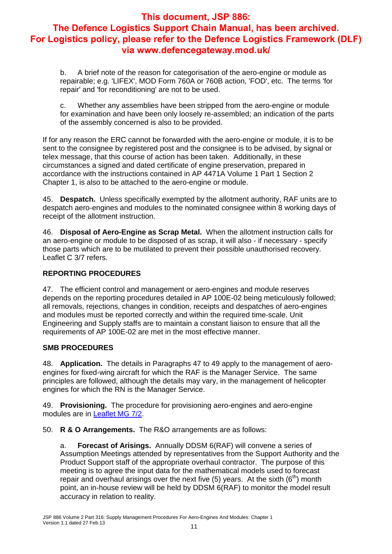b. A brief note of the reason for categorisation of the aero-engine or module as repairable; e.g. 'LIFEX', MOD Form 760A or 760B action, 'FOD', etc. The terms 'for repair' and 'for reconditioning' are not to be used.

c. Whether any assemblies have been stripped from the aero-engine or module for examination and have been only loosely re-assembled; an indication of the parts of the assembly concerned is also to be provided.

If for any reason the ERC cannot be forwarded with the aero-engine or module, it is to be sent to the consignee by registered post and the consignee is to be advised, by signal or telex message, that this course of action has been taken. Additionally, in these circumstances a signed and dated certificate of engine preservation, prepared in accordance with the instructions contained in AP 4471A Volume 1 Part 1 Section 2 Chapter 1, is also to be attached to the aero-engine or module.

45. **Despatch.** Unless specifically exempted by the allotment authority, RAF units are to despatch aero-engines and modules to the nominated consignee within 8 working days of receipt of the allotment instruction.

46. **Disposal of Aero-Engine as Scrap Metal.** When the allotment instruction calls for an aero-engine or module to be disposed of as scrap, it will also - if necessary - specify those parts which are to be mutilated to prevent their possible unauthorised recovery. Leaflet C 3/7 refers.

## **REPORTING PROCEDURES**

47. The efficient control and management or aero-engines and module reserves depends on the reporting procedures detailed in AP 100E-02 being meticulously followed; all removals, rejections, changes in condition, receipts and despatches of aero-engines and modules must be reported correctly and within the required time-scale. Unit Engineering and Supply staffs are to maintain a constant liaison to ensure that all the requirements of AP 100E-02 are met in the most effective manner.

#### **SMB PROCEDURES**

48. **Application.** The details in Paragraphs 47 to 49 apply to the management of aeroengines for fixed-wing aircraft for which the RAF is the Manager Service. The same principles are followed, although the details may vary, in the management of helicopter engines for which the RN is the Manager Service.

49. **Provisioning.** The procedure for provisioning aero-engines and aero-engine modules are in Leaflet MG 7/2.

50. **R & O Arrangements.** The R&O arrangements are as follows:

a. **Forecast of Arisings.** Annually DDSM 6(RAF) will convene a series of Assumption Meetings attended by representatives from the Support Authority and the Product Support staff of the appropriate overhaul contractor. The purpose of this meeting is to agree the input data for the mathematical models used to forecast repair and overhaul arisings over the next five  $(5)$  years. At the sixth  $(6<sup>th</sup>)$  month point, an in-house review will be held by DDSM 6(RAF) to monitor the model result accuracy in relation to reality.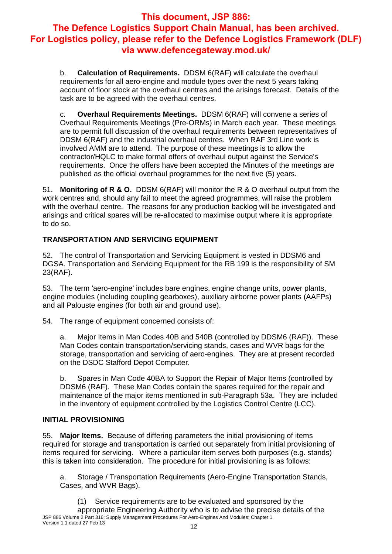b. **Calculation of Requirements.** DDSM 6(RAF) will calculate the overhaul requirements for all aero-engine and module types over the next 5 years taking account of floor stock at the overhaul centres and the arisings forecast. Details of the task are to be agreed with the overhaul centres.

c. **Overhaul Requirements Meetings.** DDSM 6(RAF) will convene a series of Overhaul Requirements Meetings (Pre-ORMs) in March each year. These meetings are to permit full discussion of the overhaul requirements between representatives of DDSM 6(RAF) and the industrial overhaul centres. When RAF 3rd Line work is involved AMM are to attend. The purpose of these meetings is to allow the contractor/HQLC to make formal offers of overhaul output against the Service's requirements. Once the offers have been accepted the Minutes of the meetings are published as the official overhaul programmes for the next five (5) years.

51. **Monitoring of R & O.** DDSM 6(RAF) will monitor the R & O overhaul output from the work centres and, should any fail to meet the agreed programmes, will raise the problem with the overhaul centre. The reasons for any production backlog will be investigated and arisings and critical spares will be re-allocated to maximise output where it is appropriate to do so.

## **TRANSPORTATION AND SERVICING EQUIPMENT**

52. The control of Transportation and Servicing Equipment is vested in DDSM6 and DGSA. Transportation and Servicing Equipment for the RB 199 is the responsibility of SM 23(RAF).

53. The term 'aero-engine' includes bare engines, engine change units, power plants, engine modules (including coupling gearboxes), auxiliary airborne power plants (AAFPs) and all Palouste engines (for both air and ground use).

54. The range of equipment concerned consists of:

a. Major Items in Man Codes 40B and 540B (controlled by DDSM6 (RAF)). These Man Codes contain transportation/servicing stands, cases and WVR bags for the storage, transportation and servicing of aero-engines. They are at present recorded on the DSDC Stafford Depot Computer.

b. Spares in Man Code 40BA to Support the Repair of Major Items (controlled by DDSM6 (RAF). These Man Codes contain the spares required for the repair and maintenance of the major items mentioned in sub-Paragraph 53a. They are included in the inventory of equipment controlled by the Logistics Control Centre (LCC).

#### **INITIAL PROVISIONING**

55. **Major Items.** Because of differing parameters the initial provisioning of items required for storage and transportation is carried out separately from initial provisioning of items required for servicing. Where a particular item serves both purposes (e.g. stands) this is taken into consideration. The procedure for initial provisioning is as follows:

a. Storage / Transportation Requirements (Aero-Engine Transportation Stands, Cases, and WVR Bags).

JSP 886 Volume 2 Part 316: Supply Management Procedures For Aero-Engines And Modules: Chapter 1 Version 1.1 dated 27 Feb 13 12 (1) Service requirements are to be evaluated and sponsored by the appropriate Engineering Authority who is to advise the precise details of the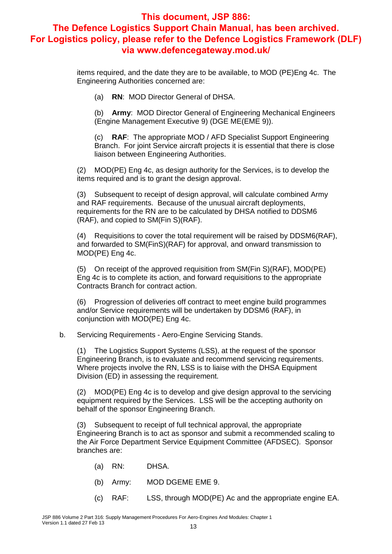items required, and the date they are to be available, to MOD (PE)Eng 4c. The Engineering Authorities concerned are:

(a) **RN**: MOD Director General of DHSA.

(b) **Army**: MOD Director General of Engineering Mechanical Engineers (Engine Management Executive 9) (DGE ME(EME 9)).

(c) **RAF**: The appropriate MOD / AFD Specialist Support Engineering Branch. For joint Service aircraft projects it is essential that there is close liaison between Engineering Authorities.

(2) MOD(PE) Eng 4c, as design authority for the Services, is to develop the items required and is to grant the design approval.

(3) Subsequent to receipt of design approval, will calculate combined Army and RAF requirements. Because of the unusual aircraft deployments, requirements for the RN are to be calculated by DHSA notified to DDSM6 (RAF), and copied to SM(Fin S)(RAF).

(4) Requisitions to cover the total requirement will be raised by DDSM6(RAF), and forwarded to SM(FinS)(RAF) for approval, and onward transmission to MOD(PE) Eng 4c.

(5) On receipt of the approved requisition from SM(Fin S)(RAF), MOD(PE) Eng 4c is to complete its action, and forward requisitions to the appropriate Contracts Branch for contract action.

(6) Progression of deliveries off contract to meet engine build programmes and/or Service requirements will be undertaken by DDSM6 (RAF), in conjunction with MOD(PE) Eng 4c.

b. Servicing Requirements - Aero-Engine Servicing Stands.

(1) The Logistics Support Systems (LSS), at the request of the sponsor Engineering Branch, is to evaluate and recommend servicing requirements. Where projects involve the RN, LSS is to liaise with the DHSA Equipment Division (ED) in assessing the requirement.

(2) MOD(PE) Eng 4c is to develop and give design approval to the servicing equipment required by the Services. LSS will be the accepting authority on behalf of the sponsor Engineering Branch.

(3) Subsequent to receipt of full technical approval, the appropriate Engineering Branch is to act as sponsor and submit a recommended scaling to the Air Force Department Service Equipment Committee (AFDSEC). Sponsor branches are:

- (a) RN: DHSA.
- (b) Army: MOD DGEME EME 9.
- (c) RAF: LSS, through MOD(PE) Ac and the appropriate engine EA.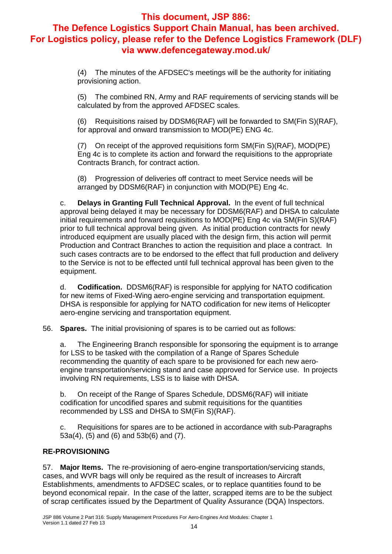(4) The minutes of the AFDSEC's meetings will be the authority for initiating provisioning action.

(5) The combined RN, Army and RAF requirements of servicing stands will be calculated by from the approved AFDSEC scales.

(6) Requisitions raised by DDSM6(RAF) will be forwarded to SM(Fin S)(RAF), for approval and onward transmission to MOD(PE) ENG 4c.

(7) On receipt of the approved requisitions form SM(Fin S)(RAF), MOD(PE) Eng 4c is to complete its action and forward the requisitions to the appropriate Contracts Branch, for contract action.

(8) Progression of deliveries off contract to meet Service needs will be arranged by DDSM6(RAF) in conjunction with MOD(PE) Eng 4c.

c. **Delays in Granting Full Technical Approval.** In the event of full technical approval being delayed it may be necessary for DDSM6(RAF) and DHSA to calculate initial requirements and forward requisitions to MOD(PE) Eng 4c via SM(Fin S)(RAF) prior to full technical approval being given. As initial production contracts for newly introduced equipment are usually placed with the design firm, this action will permit Production and Contract Branches to action the requisition and place a contract. In such cases contracts are to be endorsed to the effect that full production and delivery to the Service is not to be effected until full technical approval has been given to the equipment.

d. **Codification.** DDSM6(RAF) is responsible for applying for NATO codification for new items of Fixed-Wing aero-engine servicing and transportation equipment. DHSA is responsible for applying for NATO codification for new items of Helicopter aero-engine servicing and transportation equipment.

56. **Spares.** The initial provisioning of spares is to be carried out as follows:

a. The Engineering Branch responsible for sponsoring the equipment is to arrange for LSS to be tasked with the compilation of a Range of Spares Schedule recommending the quantity of each spare to be provisioned for each new aeroengine transportation/servicing stand and case approved for Service use. In projects involving RN requirements, LSS is to liaise with DHSA.

b. On receipt of the Range of Spares Schedule, DDSM6(RAF) will initiate codification for uncodified spares and submit requisitions for the quantities recommended by LSS and DHSA to SM(Fin S)(RAF).

c. Requisitions for spares are to be actioned in accordance with sub-Paragraphs 53a(4), (5) and (6) and 53b(6) and (7).

#### **RE-PROVISIONING**

57. **Major Items.** The re-provisioning of aero-engine transportation/servicing stands, cases, and WVR bags will only be required as the result of increases to Aircraft Establishments, amendments to AFDSEC scales, or to replace quantities found to be beyond economical repair. In the case of the latter, scrapped items are to be the subject of scrap certificates issued by the Department of Quality Assurance (DQA) Inspectors.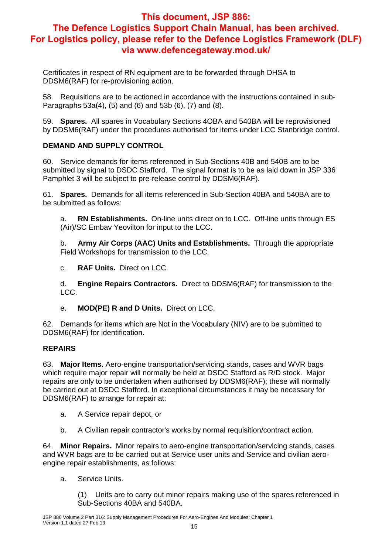Certificates in respect of RN equipment are to be forwarded through DHSA to DDSM6(RAF) for re-provisioning action.

58. Requisitions are to be actioned in accordance with the instructions contained in sub-Paragraphs 53a(4), (5) and (6) and 53b (6), (7) and (8).

59. **Spares.** All spares in Vocabulary Sections 4OBA and 540BA will be reprovisioned by DDSM6(RAF) under the procedures authorised for items under LCC Stanbridge control.

## **DEMAND AND SUPPLY CONTROL**

60. Service demands for items referenced in Sub-Sections 40B and 540B are to be submitted by signal to DSDC Stafford. The signal format is to be as laid down in JSP 336 Pamphlet 3 will be subject to pre-release control by DDSM6(RAF).

61. **Spares.** Demands for all items referenced in Sub-Section 40BA and 540BA are to be submitted as follows:

a. **RN Establishments.** On-line units direct on to LCC. Off-line units through ES (Air)/SC Embav Yeovilton for input to the LCC.

b. **Army Air Corps (AAC) Units and Establishments.** Through the appropriate Field Workshops for transmission to the LCC.

c. **RAF Units.** Direct on LCC.

d. **Engine Repairs Contractors.** Direct to DDSM6(RAF) for transmission to the LCC.

e. **MOD(PE) R and D Units.** Direct on LCC.

62. Demands for items which are Not in the Vocabulary (NIV) are to be submitted to DDSM6(RAF) for identification.

#### **REPAIRS**

63. **Major Items.** Aero-engine transportation/servicing stands, cases and WVR bags which require major repair will normally be held at DSDC Stafford as R/D stock. Major repairs are only to be undertaken when authorised by DDSM6(RAF); these will normally be carried out at DSDC Stafford. In exceptional circumstances it may be necessary for DDSM6(RAF) to arrange for repair at:

- a. A Service repair depot, or
- b. A Civilian repair contractor's works by normal requisition/contract action.

64. **Minor Repairs.** Minor repairs to aero-engine transportation/servicing stands, cases and WVR bags are to be carried out at Service user units and Service and civilian aeroengine repair establishments, as follows:

a. Service Units.

(1) Units are to carry out minor repairs making use of the spares referenced in Sub-Sections 40BA and 540BA.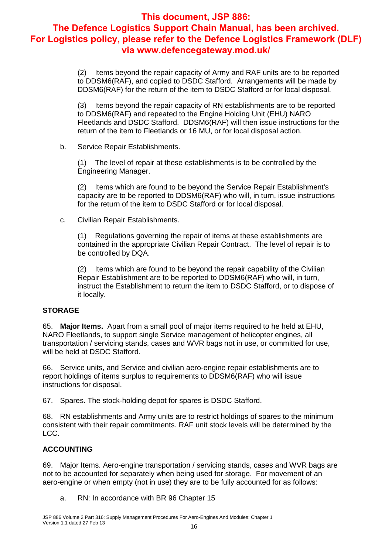(2) Items beyond the repair capacity of Army and RAF units are to be reported to DDSM6(RAF), and copied to DSDC Stafford. Arrangements will be made by DDSM6(RAF) for the return of the item to DSDC Stafford or for local disposal.

(3) Items beyond the repair capacity of RN establishments are to be reported to DDSM6(RAF) and repeated to the Engine Holding Unit (EHU) NARO Fleetlands and DSDC Stafford. DDSM6(RAF) will then issue instructions for the return of the item to Fleetlands or 16 MU, or for local disposal action.

b. Service Repair Establishments.

(1) The level of repair at these establishments is to be controlled by the Engineering Manager.

(2) Items which are found to be beyond the Service Repair Establishment's capacity are to be reported to DDSM6(RAF) who will, in turn, issue instructions for the return of the item to DSDC Stafford or for local disposal.

c. Civilian Repair Establishments.

(1) Regulations governing the repair of items at these establishments are contained in the appropriate Civilian Repair Contract. The level of repair is to be controlled by DQA.

(2) Items which are found to be beyond the repair capability of the Civilian Repair Establishment are to be reported to DDSM6(RAF) who will, in turn, instruct the Establishment to return the item to DSDC Stafford, or to dispose of it locally.

#### **STORAGE**

65. **Major Items.** Apart from a small pool of major items required to he held at EHU, NARO Fleetlands, to support single Service management of helicopter engines, all transportation / servicing stands, cases and WVR bags not in use, or committed for use, will be held at DSDC Stafford.

66. Service units, and Service and civilian aero-engine repair establishments are to report holdings of items surplus to requirements to DDSM6(RAF) who will issue instructions for disposal.

67. Spares. The stock-holding depot for spares is DSDC Stafford.

68. RN establishments and Army units are to restrict holdings of spares to the minimum consistent with their repair commitments. RAF unit stock levels will be determined by the LCC.

#### **ACCOUNTING**

69. Major Items. Aero-engine transportation / servicing stands, cases and WVR bags are not to be accounted for separately when being used for storage. For movement of an aero-engine or when empty (not in use) they are to be fully accounted for as follows:

a. RN: In accordance with BR 96 Chapter 15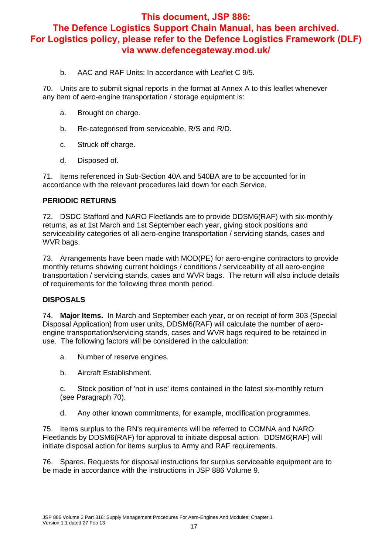b. AAC and RAF Units: In accordance with Leaflet C 9/5.

70. Units are to submit signal reports in the format at Annex A to this leaflet whenever any item of aero-engine transportation / storage equipment is:

- a. Brought on charge.
- b. Re-categorised from serviceable, R/S and R/D.
- c. Struck off charge.
- d. Disposed of.

71. Items referenced in Sub-Section 40A and 540BA are to be accounted for in accordance with the relevant procedures laid down for each Service.

#### **PERIODIC RETURNS**

72. DSDC Stafford and NARO Fleetlands are to provide DDSM6(RAF) with six-monthly returns, as at 1st March and 1st September each year, giving stock positions and serviceability categories of all aero-engine transportation / servicing stands, cases and WVR bags.

73. Arrangements have been made with MOD(PE) for aero-engine contractors to provide monthly returns showing current holdings / conditions / serviceability of all aero-engine transportation / servicing stands, cases and WVR bags. The return will also include details of requirements for the following three month period.

#### **DISPOSALS**

74. **Major Items.** In March and September each year, or on receipt of form 303 (Special Disposal Application) from user units, DDSM6(RAF) will calculate the number of aeroengine transportation/servicing stands, cases and WVR bags required to be retained in use. The following factors will be considered in the calculation:

- a. Number of reserve engines.
- b. Aircraft Establishment.

c. Stock position of 'not in use' items contained in the latest six-monthly return (see Paragraph 70).

d. Any other known commitments, for example, modification programmes.

75. Items surplus to the RN's requirements will be referred to COMNA and NARO Fleetlands by DDSM6(RAF) for approval to initiate disposal action. DDSM6(RAF) will initiate disposal action for items surplus to Army and RAF requirements.

76. Spares. Requests for disposal instructions for surplus serviceable equipment are to be made in accordance with the instructions in JSP 886 Volume 9.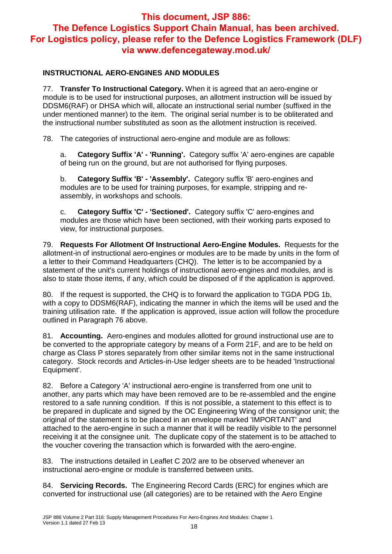## **INSTRUCTIONAL AERO-ENGINES AND MODULES**

77. **Transfer To Instructional Category.** When it is agreed that an aero-engine or module is to be used for instructional purposes, an allotment instruction will be issued by DDSM6(RAF) or DHSA which will, allocate an instructional serial number (suffixed in the under mentioned manner) to the item. The original serial number is to be obliterated and the instructional number substituted as soon as the allotment instruction is received.

78. The categories of instructional aero-engine and module are as follows:

a. **Category Suffix 'A' - 'Running'.** Category suffix 'A' aero-engines are capable of being run on the ground, but are not authorised for flying purposes.

b. **Category Suffix 'B' - 'Assembly'.** Category suffix 'B' aero-engines and modules are to be used for training purposes, for example, stripping and reassembly, in workshops and schools.

c. **Category Suffix 'C' - 'Sectioned'.** Category suffix 'C' aero-engines and modules are those which have been sectioned, with their working parts exposed to view, for instructional purposes.

79. **Requests For Allotment Of Instructional Aero-Engine Modules.** Requests for the allotment-in of instructional aero-engines or modules are to be made by units in the form of a letter to their Command Headquarters (CHQ). The letter is to be accompanied by a statement of the unit's current holdings of instructional aero-engines and modules, and is also to state those items, if any, which could be disposed of if the application is approved.

80. If the request is supported, the CHQ is to forward the application to TGDA PDG 1b, with a copy to DDSM6(RAF), indicating the manner in which the items will be used and the training utilisation rate. If the application is approved, issue action will follow the procedure outlined in Paragraph 76 above.

81. **Accounting.** Aero-engines and modules allotted for ground instructional use are to be converted to the appropriate category by means of a Form 21F, and are to be held on charge as Class P stores separately from other similar items not in the same instructional category. Stock records and Articles-in-Use ledger sheets are to be headed 'Instructional Equipment'.

82. Before a Category 'A' instructional aero-engine is transferred from one unit to another, any parts which may have been removed are to be re-assembled and the engine restored to a safe running condition. If this is not possible, a statement to this effect is to be prepared in duplicate and signed by the OC Engineering Wing of the consignor unit; the original of the statement is to be placed in an envelope marked 'IMPORTANT' and attached to the aero-engine in such a manner that it will be readily visible to the personnel receiving it at the consignee unit. The duplicate copy of the statement is to be attached to the voucher covering the transaction which is forwarded with the aero-engine.

83. The instructions detailed in Leaflet C 20/2 are to be observed whenever an instructional aero-engine or module is transferred between units.

84. **Servicing Records.** The Engineering Record Cards (ERC) for engines which are converted for instructional use (all categories) are to be retained with the Aero Engine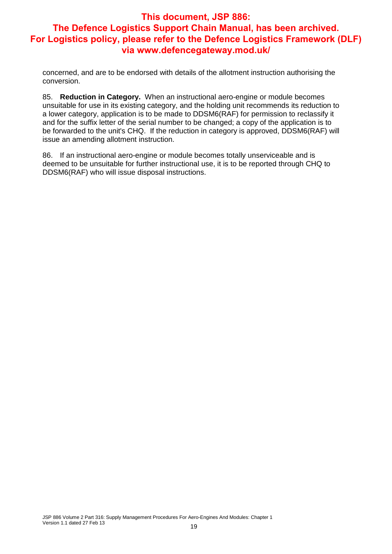concerned, and are to be endorsed with details of the allotment instruction authorising the conversion.

85. **Reduction in Category.** When an instructional aero-engine or module becomes unsuitable for use in its existing category, and the holding unit recommends its reduction to a lower category, application is to be made to DDSM6(RAF) for permission to reclassify it and for the suffix letter of the serial number to be changed; a copy of the application is to be forwarded to the unit's CHQ. If the reduction in category is approved, DDSM6(RAF) will issue an amending allotment instruction.

86. If an instructional aero-engine or module becomes totally unserviceable and is deemed to be unsuitable for further instructional use, it is to be reported through CHQ to DDSM6(RAF) who will issue disposal instructions.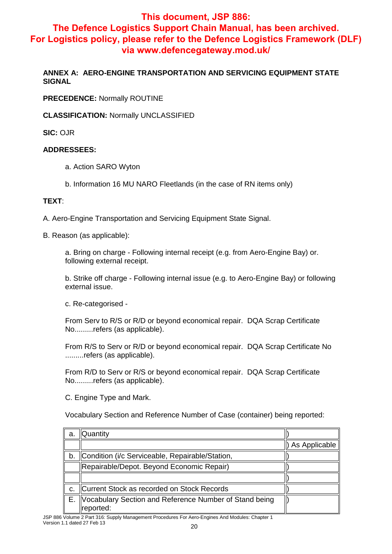## **This document, JSP 886:**

## **The Defence Logistics Support Chain Manual, has been archived. For Logistics policy, please refer to the Defence Logistics Framework (DLF) via www.defencegateway.mod.uk/**

**ANNEX A: AERO-ENGINE TRANSPORTATION AND SERVICING EQUIPMENT STATE SIGNAL**

**PRECEDENCE:** Normally ROUTINE

**CLASSIFICATION:** Normally UNCLASSIFIED

**SIC:** OJR

#### **ADDRESSEES:**

- a. Action SARO Wyton
- b. Information 16 MU NARO Fleetlands (in the case of RN items only)

#### **TEXT**:

A. Aero-Engine Transportation and Servicing Equipment State Signal.

B. Reason (as applicable):

a. Bring on charge - Following internal receipt (e.g. from Aero-Engine Bay) or. following external receipt.

b. Strike off charge - Following internal issue (e.g. to Aero-Engine Bay) or following external issue.

c. Re-categorised -

From Serv to R/S or R/D or beyond economical repair. DQA Scrap Certificate No.........refers (as applicable).

From R/S to Serv or R/D or beyond economical repair. DQA Scrap Certificate No .........refers (as applicable).

From R/D to Serv or R/S or beyond economical repair. DQA Scrap Certificate No.........refers (as applicable).

C. Engine Type and Mark.

Vocabulary Section and Reference Number of Case (container) being reported:

| a. | <b>Quantity</b>                                                     |               |
|----|---------------------------------------------------------------------|---------------|
|    |                                                                     | As Applicable |
| b. | Condition (i/c Serviceable, Repairable/Station,                     |               |
|    | Repairable/Depot. Beyond Economic Repair)                           |               |
|    |                                                                     |               |
|    | Current Stock as recorded on Stock Records                          |               |
| Е. | Vocabulary Section and Reference Number of Stand being<br>reported: |               |